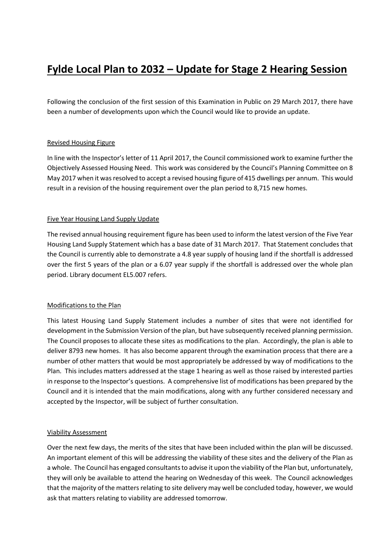# **Fylde Local Plan to 2032 – Update for Stage 2 Hearing Session**

Following the conclusion of the first session of this Examination in Public on 29 March 2017, there have been a number of developments upon which the Council would like to provide an update.

## Revised Housing Figure

In line with the Inspector's letter of 11 April 2017, the Council commissioned work to examine further the Objectively Assessed Housing Need. This work was considered by the Council's Planning Committee on 8 May 2017 when it was resolved to accept a revised housing figure of 415 dwellings per annum. This would result in a revision of the housing requirement over the plan period to 8,715 new homes.

## Five Year Housing Land Supply Update

The revised annual housing requirement figure has been used to inform the latest version of the Five Year Housing Land Supply Statement which has a base date of 31 March 2017. That Statement concludes that the Council is currently able to demonstrate a 4.8 year supply of housing land if the shortfall is addressed over the first 5 years of the plan or a 6.07 year supply if the shortfall is addressed over the whole plan period. Library document EL5.007 refers.

#### Modifications to the Plan

This latest Housing Land Supply Statement includes a number of sites that were not identified for development in the Submission Version of the plan, but have subsequently received planning permission. The Council proposes to allocate these sites as modifications to the plan. Accordingly, the plan is able to deliver 8793 new homes. It has also become apparent through the examination process that there are a number of other matters that would be most appropriately be addressed by way of modifications to the Plan. This includes matters addressed at the stage 1 hearing as well as those raised by interested parties in response to the Inspector's questions. A comprehensive list of modifications has been prepared by the Council and it is intended that the main modifications, along with any further considered necessary and accepted by the Inspector, will be subject of further consultation.

#### Viability Assessment

Over the next few days, the merits of the sites that have been included within the plan will be discussed. An important element of this will be addressing the viability of these sites and the delivery of the Plan as a whole. The Council has engaged consultants to advise it upon the viability of the Plan but, unfortunately, they will only be available to attend the hearing on Wednesday of this week. The Council acknowledges that the majority of the matters relating to site delivery may well be concluded today, however, we would ask that matters relating to viability are addressed tomorrow.